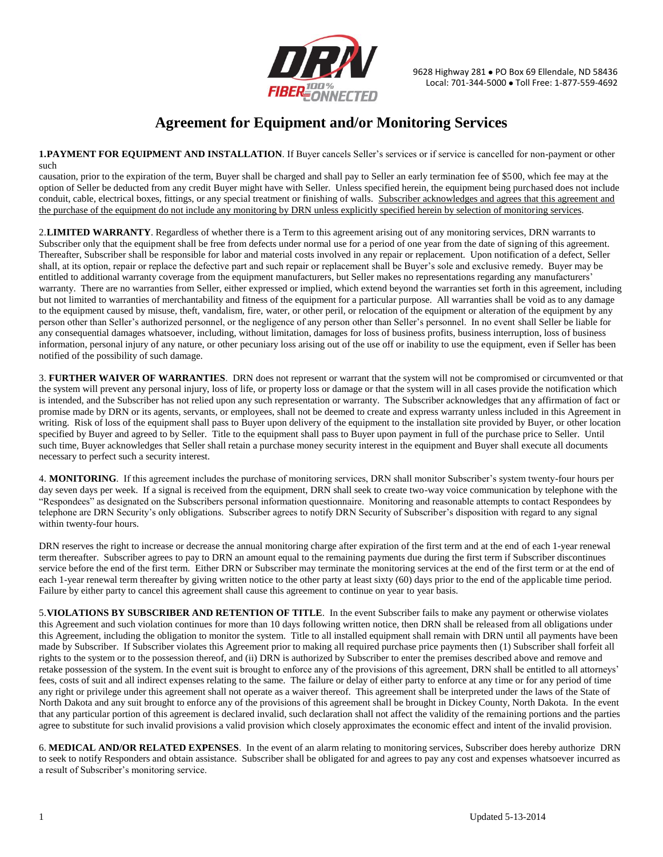

## **Agreement for Equipment and/or Monitoring Services**

**1.PAYMENT FOR EQUIPMENT AND INSTALLATION**. If Buyer cancels Seller's services or if service is cancelled for non-payment or other such

causation, prior to the expiration of the term, Buyer shall be charged and shall pay to Seller an early termination fee of \$500, which fee may at the option of Seller be deducted from any credit Buyer might have with Seller. Unless specified herein, the equipment being purchased does not include conduit, cable, electrical boxes, fittings, or any special treatment or finishing of walls. Subscriber acknowledges and agrees that this agreement and the purchase of the equipment do not include any monitoring by DRN unless explicitly specified herein by selection of monitoring services.

2.**LIMITED WARRANTY**. Regardless of whether there is a Term to this agreement arising out of any monitoring services, DRN warrants to Subscriber only that the equipment shall be free from defects under normal use for a period of one year from the date of signing of this agreement. Thereafter, Subscriber shall be responsible for labor and material costs involved in any repair or replacement. Upon notification of a defect, Seller shall, at its option, repair or replace the defective part and such repair or replacement shall be Buyer's sole and exclusive remedy. Buyer may be entitled to additional warranty coverage from the equipment manufacturers, but Seller makes no representations regarding any manufacturers' warranty. There are no warranties from Seller, either expressed or implied, which extend beyond the warranties set forth in this agreement, including but not limited to warranties of merchantability and fitness of the equipment for a particular purpose. All warranties shall be void as to any damage to the equipment caused by misuse, theft, vandalism, fire, water, or other peril, or relocation of the equipment or alteration of the equipment by any person other than Seller's authorized personnel, or the negligence of any person other than Seller's personnel. In no event shall Seller be liable for any consequential damages whatsoever, including, without limitation, damages for loss of business profits, business interruption, loss of business information, personal injury of any nature, or other pecuniary loss arising out of the use off or inability to use the equipment, even if Seller has been notified of the possibility of such damage.

3. **FURTHER WAIVER OF WARRANTIES**. DRN does not represent or warrant that the system will not be compromised or circumvented or that the system will prevent any personal injury, loss of life, or property loss or damage or that the system will in all cases provide the notification which is intended, and the Subscriber has not relied upon any such representation or warranty. The Subscriber acknowledges that any affirmation of fact or promise made by DRN or its agents, servants, or employees, shall not be deemed to create and express warranty unless included in this Agreement in writing. Risk of loss of the equipment shall pass to Buyer upon delivery of the equipment to the installation site provided by Buyer, or other location specified by Buyer and agreed to by Seller. Title to the equipment shall pass to Buyer upon payment in full of the purchase price to Seller. Until such time, Buyer acknowledges that Seller shall retain a purchase money security interest in the equipment and Buyer shall execute all documents necessary to perfect such a security interest.

4. **MONITORING**. If this agreement includes the purchase of monitoring services, DRN shall monitor Subscriber's system twenty-four hours per day seven days per week. If a signal is received from the equipment, DRN shall seek to create two-way voice communication by telephone with the "Respondees" as designated on the Subscribers personal information questionnaire. Monitoring and reasonable attempts to contact Respondees by telephone are DRN Security's only obligations. Subscriber agrees to notify DRN Security of Subscriber's disposition with regard to any signal within twenty-four hours.

DRN reserves the right to increase or decrease the annual monitoring charge after expiration of the first term and at the end of each 1-year renewal term thereafter. Subscriber agrees to pay to DRN an amount equal to the remaining payments due during the first term if Subscriber discontinues service before the end of the first term. Either DRN or Subscriber may terminate the monitoring services at the end of the first term or at the end of each 1-year renewal term thereafter by giving written notice to the other party at least sixty (60) days prior to the end of the applicable time period. Failure by either party to cancel this agreement shall cause this agreement to continue on year to year basis.

5.**VIOLATIONS BY SUBSCRIBER AND RETENTION OF TITLE**. In the event Subscriber fails to make any payment or otherwise violates this Agreement and such violation continues for more than 10 days following written notice, then DRN shall be released from all obligations under this Agreement, including the obligation to monitor the system. Title to all installed equipment shall remain with DRN until all payments have been made by Subscriber. If Subscriber violates this Agreement prior to making all required purchase price payments then (1) Subscriber shall forfeit all rights to the system or to the possession thereof, and (ii) DRN is authorized by Subscriber to enter the premises described above and remove and retake possession of the system. In the event suit is brought to enforce any of the provisions of this agreement, DRN shall be entitled to all attorneys' fees, costs of suit and all indirect expenses relating to the same. The failure or delay of either party to enforce at any time or for any period of time any right or privilege under this agreement shall not operate as a waiver thereof. This agreement shall be interpreted under the laws of the State of North Dakota and any suit brought to enforce any of the provisions of this agreement shall be brought in Dickey County, North Dakota. In the event that any particular portion of this agreement is declared invalid, such declaration shall not affect the validity of the remaining portions and the parties agree to substitute for such invalid provisions a valid provision which closely approximates the economic effect and intent of the invalid provision.

6. **MEDICAL AND/OR RELATED EXPENSES**. In the event of an alarm relating to monitoring services, Subscriber does hereby authorize DRN to seek to notify Responders and obtain assistance. Subscriber shall be obligated for and agrees to pay any cost and expenses whatsoever incurred as a result of Subscriber's monitoring service.